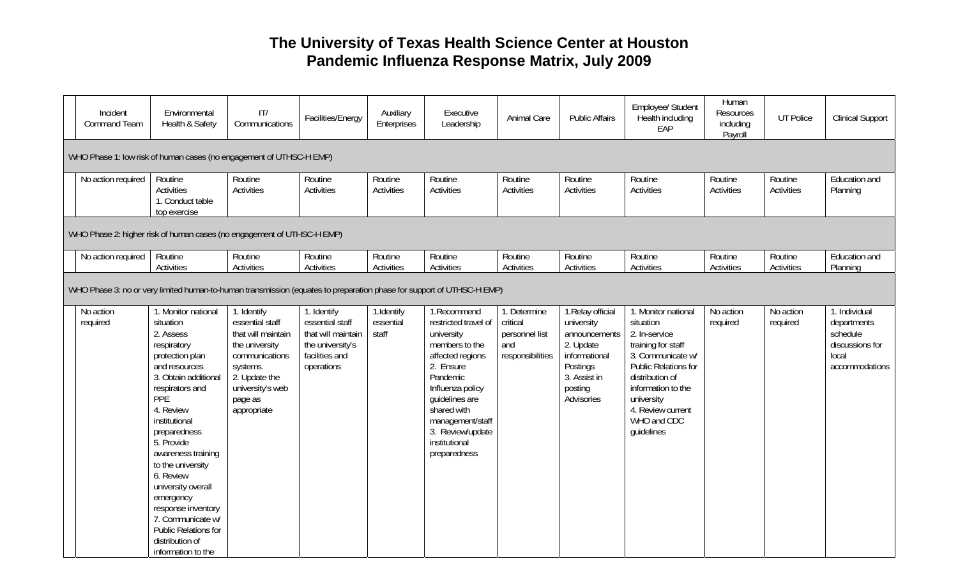## **The University of Texas Health Science Center at Houston Pandemic Influenza Response Matrix, July 2009**

| Incident<br><b>Command Team</b>                                     | Environmental<br>Health & Safety                                                                                                                                                                                                                                                                                                                                                                                             | T <br>Communications                                                                                                                                                | Facilities/Energy                                                                                        | Auxiliary<br>Enterprises         | Executive<br>Leadership                                                                                                                                                                                                                        | Animal Care                                                           | <b>Public Affairs</b>                                                                                                               | Employee/ Student<br>Health including<br>EAP                                                                                                                                                                                  | Human<br>Resources<br>including<br>Payroll | <b>UT Police</b>      | <b>Clinical Support</b>                                                                |
|---------------------------------------------------------------------|------------------------------------------------------------------------------------------------------------------------------------------------------------------------------------------------------------------------------------------------------------------------------------------------------------------------------------------------------------------------------------------------------------------------------|---------------------------------------------------------------------------------------------------------------------------------------------------------------------|----------------------------------------------------------------------------------------------------------|----------------------------------|------------------------------------------------------------------------------------------------------------------------------------------------------------------------------------------------------------------------------------------------|-----------------------------------------------------------------------|-------------------------------------------------------------------------------------------------------------------------------------|-------------------------------------------------------------------------------------------------------------------------------------------------------------------------------------------------------------------------------|--------------------------------------------|-----------------------|----------------------------------------------------------------------------------------|
| WHO Phase 1: low risk of human cases (no engagement of UTHSC-H EMP) |                                                                                                                                                                                                                                                                                                                                                                                                                              |                                                                                                                                                                     |                                                                                                          |                                  |                                                                                                                                                                                                                                                |                                                                       |                                                                                                                                     |                                                                                                                                                                                                                               |                                            |                       |                                                                                        |
| No action required                                                  | Routine<br><b>Activities</b><br>1. Conduct table<br>top exercise                                                                                                                                                                                                                                                                                                                                                             | Routine<br><b>Activities</b>                                                                                                                                        | Routine<br>Activities                                                                                    | Routine<br>Activities            | Routine<br><b>Activities</b>                                                                                                                                                                                                                   | Routine<br><b>Activities</b>                                          | Routine<br><b>Activities</b>                                                                                                        | Routine<br>Activities                                                                                                                                                                                                         | Routine<br><b>Activities</b>               | Routine<br>Activities | Education and<br>Planning                                                              |
|                                                                     | WHO Phase 2: higher risk of human cases (no engagement of UTHSC-H EMP)                                                                                                                                                                                                                                                                                                                                                       |                                                                                                                                                                     |                                                                                                          |                                  |                                                                                                                                                                                                                                                |                                                                       |                                                                                                                                     |                                                                                                                                                                                                                               |                                            |                       |                                                                                        |
| No action required                                                  | Routine<br>Activities                                                                                                                                                                                                                                                                                                                                                                                                        | Routine<br>Activities                                                                                                                                               | Routine<br>Activities                                                                                    | Routine<br>Activities            | Routine<br>Activities                                                                                                                                                                                                                          | Routine<br>Activities                                                 | Routine<br><b>Activities</b>                                                                                                        | Routine<br>Activities                                                                                                                                                                                                         | Routine<br><b>Activities</b>               | Routine<br>Activities | Education and<br>Planning                                                              |
|                                                                     | WHO Phase 3: no or very limited human-to-human transmission (equates to preparation phase for support of UTHSC-H EMP)                                                                                                                                                                                                                                                                                                        |                                                                                                                                                                     |                                                                                                          |                                  |                                                                                                                                                                                                                                                |                                                                       |                                                                                                                                     |                                                                                                                                                                                                                               |                                            |                       |                                                                                        |
| No action<br>required                                               | 1. Monitor national<br>situation<br>2. Assess<br>respiratory<br>protection plan<br>and resources<br>3. Obtain additional<br>respirators and<br><b>PPE</b><br>4. Review<br>institutional<br>preparedness<br>5. Provide<br>awareness training<br>to the university<br>6. Review<br>university overall<br>emergency<br>response inventory<br>7. Communicate w/<br>Public Relations for<br>distribution of<br>information to the | 1. Identify<br>essential staff<br>that will maintain<br>the university<br>communications<br>systems.<br>2. Update the<br>university's web<br>page as<br>appropriate | 1. Identify<br>essential staff<br>that will maintain<br>the university's<br>facilities and<br>operations | 1.Identify<br>essential<br>staff | 1.Recommend<br>restricted travel of<br>university<br>members to the<br>affected regions<br>2. Ensure<br>Pandemic<br>Influenza policy<br>quidelines are<br>shared with<br>management/staff<br>3. Review/update<br>institutional<br>preparedness | 1. Determine<br>critical<br>personnel list<br>and<br>responsibilities | 1. Relay official<br>university<br>announcements<br>2. Update<br>informational<br>Postings<br>3. Assist in<br>posting<br>Advisories | 1. Monitor national<br>situation<br>2. In-service<br>training for staff<br>3. Communicate w/<br>Public Relations for<br>distribution of<br>information to the<br>university<br>4. Review current<br>WHO and CDC<br>quidelines | No action<br>required                      | No action<br>required | 1. Individual<br>departments<br>schedule<br>discussions for<br>local<br>accommodations |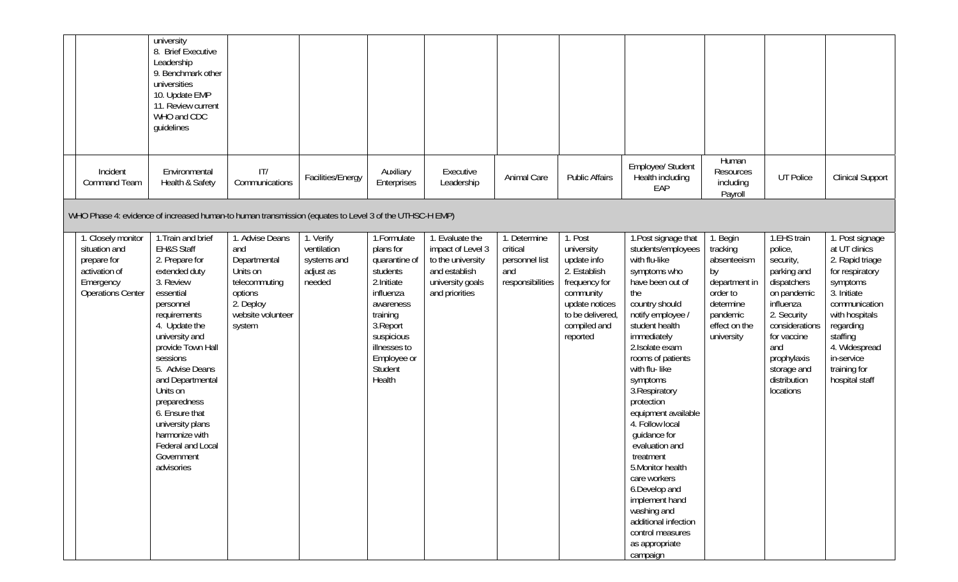|                                                                                                              | university<br>8. Brief Executive<br>Leadership<br>9. Benchmark other<br>universities<br>10. Update EMP<br>11. Review current<br>WHO and CDC<br>guidelines                                                                                                                                                                                                                             |                                                                                                                            |                                                                |                                                                                                                                                                                            |                                                                                                                  |                                                                       |                                                                                                                                                      |                                                                                                                                                                                                                                                                                                                                                                                                                                                                                                                                               |                                                                                                                                |                                                                                                                                                                                                                 |                                                                                                                                                                                                                                |
|--------------------------------------------------------------------------------------------------------------|---------------------------------------------------------------------------------------------------------------------------------------------------------------------------------------------------------------------------------------------------------------------------------------------------------------------------------------------------------------------------------------|----------------------------------------------------------------------------------------------------------------------------|----------------------------------------------------------------|--------------------------------------------------------------------------------------------------------------------------------------------------------------------------------------------|------------------------------------------------------------------------------------------------------------------|-----------------------------------------------------------------------|------------------------------------------------------------------------------------------------------------------------------------------------------|-----------------------------------------------------------------------------------------------------------------------------------------------------------------------------------------------------------------------------------------------------------------------------------------------------------------------------------------------------------------------------------------------------------------------------------------------------------------------------------------------------------------------------------------------|--------------------------------------------------------------------------------------------------------------------------------|-----------------------------------------------------------------------------------------------------------------------------------------------------------------------------------------------------------------|--------------------------------------------------------------------------------------------------------------------------------------------------------------------------------------------------------------------------------|
| Incident<br><b>Command Team</b>                                                                              | Environmental<br>Health & Safety                                                                                                                                                                                                                                                                                                                                                      | IT/<br>Communications                                                                                                      | Facilities/Energy                                              | Auxiliary<br>Enterprises                                                                                                                                                                   | Executive<br>Leadership                                                                                          | Animal Care                                                           | <b>Public Affairs</b>                                                                                                                                | Employee/ Student<br>Health including<br>EAP                                                                                                                                                                                                                                                                                                                                                                                                                                                                                                  | Human<br>Resources<br>including<br>Payroll                                                                                     | UT Police                                                                                                                                                                                                       | <b>Clinical Support</b>                                                                                                                                                                                                        |
| WHO Phase 4: evidence of increased human-to human transmission (equates to Level 3 of the UTHSC-H EMP)       |                                                                                                                                                                                                                                                                                                                                                                                       |                                                                                                                            |                                                                |                                                                                                                                                                                            |                                                                                                                  |                                                                       |                                                                                                                                                      |                                                                                                                                                                                                                                                                                                                                                                                                                                                                                                                                               |                                                                                                                                |                                                                                                                                                                                                                 |                                                                                                                                                                                                                                |
| 1. Closely monitor<br>situation and<br>prepare for<br>activation of<br>Emergency<br><b>Operations Center</b> | 1. Train and brief<br><b>EH&amp;S Staff</b><br>2. Prepare for<br>extended duty<br>3. Review<br>essential<br>personnel<br>requirements<br>4. Update the<br>university and<br>provide Town Hall<br>sessions<br>5. Advise Deans<br>and Departmental<br>Units on<br>preparedness<br>6. Ensure that<br>university plans<br>harmonize with<br>Federal and Local<br>Government<br>advisories | 1. Advise Deans<br>and<br>Departmental<br>Units on<br>telecommuting<br>options<br>2. Deploy<br>website volunteer<br>system | 1. Verify<br>ventilation<br>systems and<br>adjust as<br>needed | 1. Formulate<br>plans for<br>quarantine of<br>students<br>2. Initiate<br>influenza<br>awareness<br>training<br>3. Report<br>suspicious<br>illnesses to<br>Employee or<br>Student<br>Health | 1. Evaluate the<br>impact of Level 3<br>to the university<br>and establish<br>university goals<br>and priorities | 1. Determine<br>critical<br>personnel list<br>and<br>responsibilities | 1. Post<br>university<br>update info<br>2. Establish<br>frequency for<br>community<br>update notices<br>to be delivered,<br>compiled and<br>reported | 1. Post signage that<br>students/employees<br>with flu-like<br>symptoms who<br>have been out of<br>the<br>country should<br>notify employee /<br>student health<br>immediately<br>2. Isolate exam<br>rooms of patients<br>with flu-like<br>symptoms<br>3. Respiratory<br>protection<br>equipment available<br>4. Follow local<br>quidance for<br>evaluation and<br>treatment<br>5. Monitor health<br>care workers<br>6.Develop and<br>implement hand<br>washing and<br>additional infection<br>control measures<br>as appropriate<br>campaign | 1. Begin<br>tracking<br>absenteeism<br>by<br>department in<br>order to<br>determine<br>pandemic<br>effect on the<br>university | 1.EHS train<br>police,<br>security,<br>parking and<br>dispatchers<br>on pandemic<br>influenza<br>2. Security<br>considerations<br>for vaccine<br>and<br>prophylaxis<br>storage and<br>distribution<br>locations | 1. Post signage<br>at UT clinics<br>2. Rapid triage<br>for respiratory<br>symptoms<br>3. Initiate<br>communication<br>with hospitals<br>regarding<br>staffing<br>4. Widespread<br>in-service<br>training for<br>hospital staff |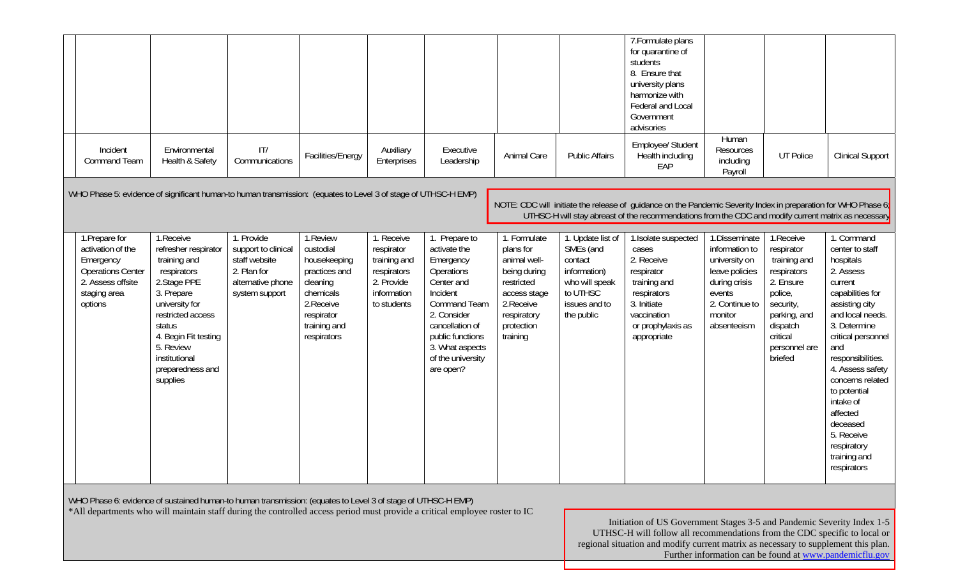|                                                                                                                              |                                                                                                                                                                                                                                       |                                                                                                          |                                                                                                                                            |                                                                                                     |                                                                                                                                                                                                                      |                                                                                                                                                |                                                                                                                        | 7. Formulate plans<br>for quarantine of<br>students<br>8. Ensure that<br>university plans<br>harmonize with<br>Federal and Local<br>Government<br>advisories                                                              |                                                                                                                                           |                                                                                                                                                                 |                                                                                                                                                                                                                                                                                                                                                         |
|------------------------------------------------------------------------------------------------------------------------------|---------------------------------------------------------------------------------------------------------------------------------------------------------------------------------------------------------------------------------------|----------------------------------------------------------------------------------------------------------|--------------------------------------------------------------------------------------------------------------------------------------------|-----------------------------------------------------------------------------------------------------|----------------------------------------------------------------------------------------------------------------------------------------------------------------------------------------------------------------------|------------------------------------------------------------------------------------------------------------------------------------------------|------------------------------------------------------------------------------------------------------------------------|---------------------------------------------------------------------------------------------------------------------------------------------------------------------------------------------------------------------------|-------------------------------------------------------------------------------------------------------------------------------------------|-----------------------------------------------------------------------------------------------------------------------------------------------------------------|---------------------------------------------------------------------------------------------------------------------------------------------------------------------------------------------------------------------------------------------------------------------------------------------------------------------------------------------------------|
| Incident<br><b>Command Team</b>                                                                                              | Environmental<br>Health & Safety                                                                                                                                                                                                      | T <br>Communications                                                                                     | Facilities/Energy                                                                                                                          | Auxiliary<br>Enterprises                                                                            | Executive<br>Leadership                                                                                                                                                                                              | Animal Care                                                                                                                                    | <b>Public Affairs</b>                                                                                                  | Employee/ Student<br>Health including<br>EAP                                                                                                                                                                              | Human<br>Resources<br>including<br>Payroll                                                                                                | <b>UT Police</b>                                                                                                                                                | <b>Clinical Support</b>                                                                                                                                                                                                                                                                                                                                 |
| WHO Phase 5: evidence of significant human-to human transmission: (equates to Level 3 of stage of UTHSC-H EMP)               |                                                                                                                                                                                                                                       |                                                                                                          |                                                                                                                                            |                                                                                                     |                                                                                                                                                                                                                      |                                                                                                                                                |                                                                                                                        | NOTE: CDC will initiate the release of quidance on the Pandemic Severity Index in preparation for WHO Phase $6_1$<br>UTHSC-H will stay abreast of the recommendations from the CDC and modify current matrix as necessary |                                                                                                                                           |                                                                                                                                                                 |                                                                                                                                                                                                                                                                                                                                                         |
| 1. Prepare for<br>activation of the<br>Emergency<br><b>Operations Center</b><br>2. Assess offsite<br>staging area<br>options | 1.Receive<br>refresher respirator<br>training and<br>respirators<br>2. Stage PPE<br>3. Prepare<br>university for<br>restricted access<br>status<br>4. Begin Fit testing<br>5. Review<br>institutional<br>preparedness and<br>supplies | 1. Provide<br>support to clinical<br>staff website<br>2. Plan for<br>alternative phone<br>system support | 1.Review<br>custodial<br>housekeeping<br>practices and<br>cleaning<br>chemicals<br>2. Receive<br>respirator<br>training and<br>respirators | 1. Receive<br>respirator<br>training and<br>respirators<br>2. Provide<br>information<br>to students | 1. Prepare to<br>activate the<br>Emergency<br>Operations<br>Center and<br>Incident<br><b>Command Team</b><br>2. Consider<br>cancellation of<br>public functions<br>3. What aspects<br>of the university<br>are open? | 1. Formulate<br>plans for<br>animal well-<br>being during<br>restricted<br>access stage<br>2. Receive<br>respiratory<br>protection<br>training | 1. Update list of<br>SMEs (and<br>contact<br>information)<br>who will speak<br>to UTHSC<br>issues and to<br>the public | 1. Isolate suspected<br>cases<br>2. Receive<br>respirator<br>training and<br>respirators<br>3. Initiate<br>vaccination<br>or prophylaxis as<br>appropriate                                                                | 1.Disseminate<br>information to<br>university on<br>leave policies<br>during crisis<br>events<br>2. Continue to<br>monitor<br>absenteeism | 1.Receive<br>respirator<br>training and<br>respirators<br>2. Ensure<br>police,<br>security,<br>parking, and<br>dispatch<br>critical<br>personnel are<br>briefed | 1. Command<br>center to staff<br>hospitals<br>2. Assess<br>current<br>capabilities for<br>assisting city<br>and local needs.<br>3. Determine<br>critical personnel<br>and<br>responsibilities.<br>4. Assess safety<br>concerns related<br>to potential<br>intake of<br>affected<br>deceased<br>5. Receive<br>respiratory<br>training and<br>respirators |

WHO Phase 6: evidence of sustained human-to human transmission: (equates to Level 3 of stage of UTHSC-H EMP) \*All departments who will maintain staff during the controlled access period must provide a critical employee roster to IC

> Initiation of US Government Stages 3-5 and Pandemic Severity Index 1-5 UTHSC-H will follow all recommendations from the CDC specific to local or regional situation and modify current matrix as necessary to supplement this plan. Further information can be found at www.pandemicflu.gov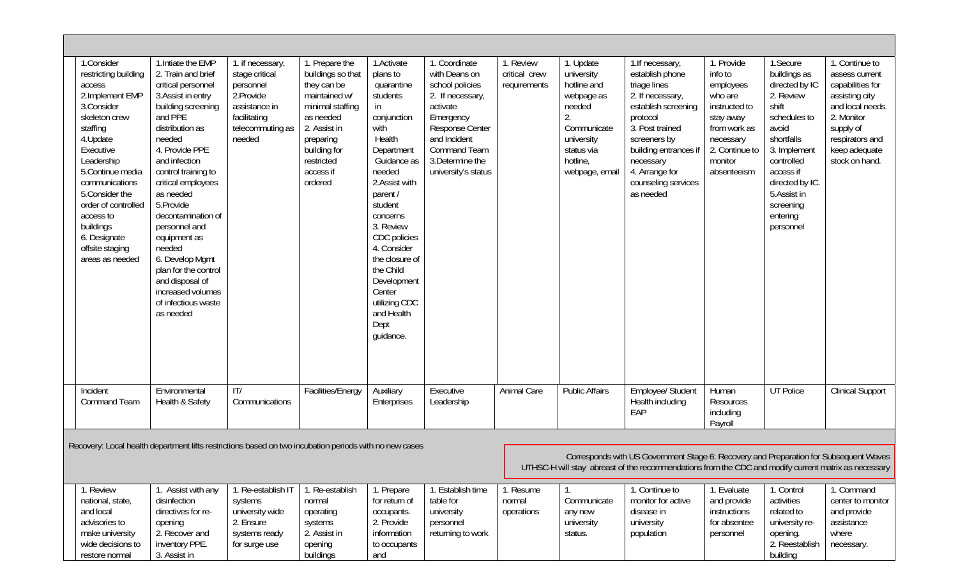| 1.Consider<br>restricting building<br>access<br>2.Implement EMP<br>3.Consider<br>skeleton crew<br>staffing<br>4. Update<br>Executive<br>Leadership<br>5. Continue media<br>communications<br>5. Consider the<br>order of controlled<br>access to<br>buildings<br>6. Designate<br>offsite staging<br>areas as needed | 1. Intiate the EMP<br>2. Train and brief<br>critical personnel<br>3. Assist in entry<br>building screening<br>and PPE<br>distribution as<br>needed<br>4. Provide PPE<br>and infection<br>control training to<br>critical employees<br>as needed<br>5. Provide<br>decontamination of<br>personnel and<br>equipment as<br>needed<br>6. Develop Mgmt<br>plan for the control<br>and disposal of<br>increased volumes<br>of infectious waste<br>as needed | 1. if necessary,<br>stage critical<br>personnel<br>2.Provide<br>assistance in<br>facilitating<br>telecommuting as<br>needed | 1. Prepare the<br>buildings so that<br>they can be<br>maintained w/<br>minimal staffing<br>as needed<br>2. Assist in<br>preparing<br>building for<br>restricted<br>access if<br>ordered | 1.Activate<br>plans to<br>quarantine<br>students<br>in<br>conjunction<br>with<br>Health<br>Department<br>Guidance as<br>needed<br>2.Assist with<br>parent /<br>student<br>concerns<br>3. Review<br>CDC policies<br>4. Consider<br>the closure of<br>the Child<br>Development<br>Center<br>utilizing CDC<br>and Health<br>Dept<br>guidance. | 1. Coordinate<br>with Deans on<br>school policies<br>2. If necessary,<br>activate<br>Emergency<br>Response Center<br>and Incident<br><b>Command Team</b><br>3. Determine the<br>university's status | 1. Review<br>critical crew<br>requirements | 1. Update<br>university<br>hotline and<br>webpage as<br>needed<br>2.<br>Communicate<br>university<br>status via<br>hotline,<br>webpage, email | 1. If necessary,<br>establish phone<br>triage lines<br>2. If necessary,<br>establish screening<br>protocol<br>3. Post trained<br>screeners by<br>building entrances if<br>necessary<br>4. Arrange for<br>counseling services<br>as needed | 1. Provide<br>info to<br>employees<br>who are<br>instructed to<br>stay away<br>from work as<br>necessary<br>2. Continue to<br>monitor<br>absenteeism | 1.Secure<br>buildings as<br>directed by IC<br>2. Review<br>shift<br>schedules to<br>avoid<br>shortfalls<br>3. Implement<br>controlled<br>access if<br>directed by IC.<br>5.Assist in<br>screening<br>entering<br>personnel | 1. Continue to<br>assess current<br>capabilities for<br>assisting city<br>and local needs.<br>2. Monitor<br>supply of<br>respirators and<br>keep adequate<br>stock on hand. |
|---------------------------------------------------------------------------------------------------------------------------------------------------------------------------------------------------------------------------------------------------------------------------------------------------------------------|-------------------------------------------------------------------------------------------------------------------------------------------------------------------------------------------------------------------------------------------------------------------------------------------------------------------------------------------------------------------------------------------------------------------------------------------------------|-----------------------------------------------------------------------------------------------------------------------------|-----------------------------------------------------------------------------------------------------------------------------------------------------------------------------------------|--------------------------------------------------------------------------------------------------------------------------------------------------------------------------------------------------------------------------------------------------------------------------------------------------------------------------------------------|-----------------------------------------------------------------------------------------------------------------------------------------------------------------------------------------------------|--------------------------------------------|-----------------------------------------------------------------------------------------------------------------------------------------------|-------------------------------------------------------------------------------------------------------------------------------------------------------------------------------------------------------------------------------------------|------------------------------------------------------------------------------------------------------------------------------------------------------|----------------------------------------------------------------------------------------------------------------------------------------------------------------------------------------------------------------------------|-----------------------------------------------------------------------------------------------------------------------------------------------------------------------------|
| Incident<br><b>Command Team</b>                                                                                                                                                                                                                                                                                     | Environmental<br>Health & Safety                                                                                                                                                                                                                                                                                                                                                                                                                      | T <br>Communications                                                                                                        | Facilities/Energy                                                                                                                                                                       | Auxiliary<br>Enterprises                                                                                                                                                                                                                                                                                                                   | Executive<br>Leadership                                                                                                                                                                             | Animal Care                                | <b>Public Affairs</b>                                                                                                                         | Employee/ Student<br>Health including<br>EAP                                                                                                                                                                                              | Human<br>Resources<br>including<br>Payroll                                                                                                           | <b>UT Police</b>                                                                                                                                                                                                           | <b>Clinical Support</b>                                                                                                                                                     |
| Recovery: Local health department lifts restrictions based on two incubation periods with no new cases                                                                                                                                                                                                              |                                                                                                                                                                                                                                                                                                                                                                                                                                                       |                                                                                                                             |                                                                                                                                                                                         |                                                                                                                                                                                                                                                                                                                                            |                                                                                                                                                                                                     |                                            |                                                                                                                                               |                                                                                                                                                                                                                                           |                                                                                                                                                      |                                                                                                                                                                                                                            |                                                                                                                                                                             |
| Corresponds with US Government Stage 6: Recovery and Preparation for Subsequent Waves<br>UTHSC-H will stay abreast of the recommendations from the CDC and modify current matrix as necessary                                                                                                                       |                                                                                                                                                                                                                                                                                                                                                                                                                                                       |                                                                                                                             |                                                                                                                                                                                         |                                                                                                                                                                                                                                                                                                                                            |                                                                                                                                                                                                     |                                            |                                                                                                                                               |                                                                                                                                                                                                                                           |                                                                                                                                                      |                                                                                                                                                                                                                            |                                                                                                                                                                             |
| 1. Review<br>national, state,<br>and local<br>advisories to<br>make university<br>wide decisions to<br>restore normal                                                                                                                                                                                               | 1. Assist with any<br>disinfection<br>directives for re-<br>opening<br>2. Recover and<br>inventory PPE.<br>3. Assist in                                                                                                                                                                                                                                                                                                                               | 1. Re-establish IT<br>systems<br>university wide<br>2. Ensure<br>systems ready<br>for surge use                             | 1. Re-establish<br>normal<br>operating<br>systems<br>2. Assist in<br>opening<br>buildings                                                                                               | 1. Prepare<br>for return of<br>occupants.<br>2. Provide<br>information<br>to occupants<br>and                                                                                                                                                                                                                                              | 1. Establish time<br>table for<br>university<br>personnel<br>returning to work                                                                                                                      | 1. Resume<br>normal<br>operations          | Communicate<br>any new<br>university<br>status.                                                                                               | 1. Continue to<br>monitor for active<br>disease in<br>university<br>population                                                                                                                                                            | 1. Evaluate<br>and provide<br>instructions<br>for absentee<br>personnel                                                                              | 1. Control<br>activities<br>related to<br>university re-<br>opening.<br>2. Reestablish<br>building                                                                                                                         | 1. Command<br>center to monitor<br>and provide<br>assistance<br>where<br>necessary.                                                                                         |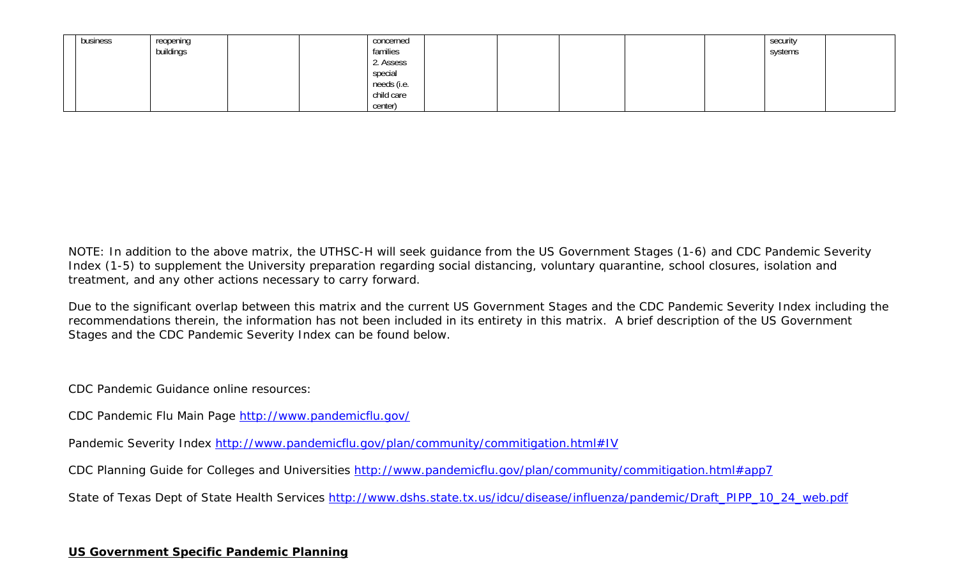| business | reopening | concerned   |  | security |  |
|----------|-----------|-------------|--|----------|--|
|          | buildings | families    |  | systems  |  |
|          |           | 2. Assess   |  |          |  |
|          |           | special     |  |          |  |
|          |           | needs (i.e. |  |          |  |
|          |           | child care  |  |          |  |
|          |           | center)     |  |          |  |

NOTE: In addition to the above matrix, the UTHSC-H will seek guidance from the US Government Stages (1-6) and CDC Pandemic Severity Index (1-5) to supplement the University preparation regarding social distancing, voluntary quarantine, school closures, isolation and treatment, and any other actions necessary to carry forward.

Due to the significant overlap between this matrix and the current US Government Stages and the CDC Pandemic Severity Index including the recommendations therein, the information has not been included in its entirety in this matrix. A brief description of the US Government Stages and the CDC Pandemic Severity Index can be found below.

CDC Pandemic Guidance online resources:

CDC Pandemic Flu Main Page http://www.pandemicflu.gov/

Pandemic Severity Index http://www.pandemicflu.gov/plan/community/commitigation.html#IV

CDC Planning Guide for Colleges and Universities http://www.pandemicflu.gov/plan/community/commitigation.html#app7

State of Texas Dept of State Health Services http://www.dshs.state.tx.us/idcu/disease/influenza/pandemic/Draft\_PIPP\_10\_24\_web.pdf

## **US Government Specific Pandemic Planning**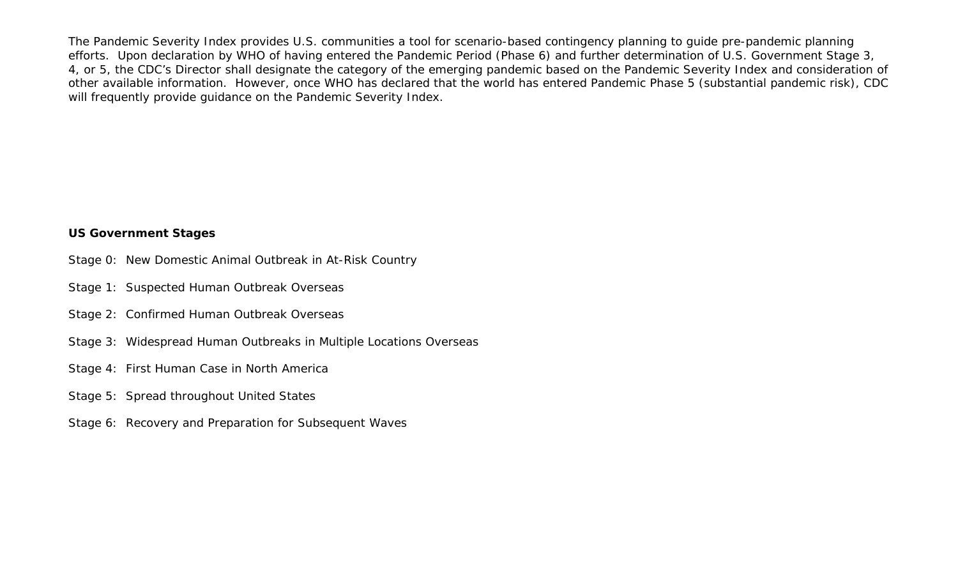The Pandemic Severity Index provides U.S. communities a tool for scenario-based contingency planning to guide pre-pandemic planning efforts. Upon declaration by WHO of having entered the Pandemic Period (Phase 6) and further determination of U.S. Government Stage 3, 4, or 5, the CDC's Director shall designate the category of the emerging pandemic based on the Pandemic Severity Index and consideration of other available information. However, once WHO has declared that the world has entered Pandemic Phase 5 (substantial pandemic risk), CDC will frequently provide guidance on the Pandemic Severity Index.

## **US Government Stages**

- Stage 0: New Domestic Animal Outbreak in At-Risk Country
- Stage 1: Suspected Human Outbreak Overseas
- Stage 2: Confirmed Human Outbreak Overseas
- Stage 3: Widespread Human Outbreaks in Multiple Locations Overseas
- Stage 4: First Human Case in North America
- Stage 5: Spread throughout United States
- Stage 6: Recovery and Preparation for Subsequent Waves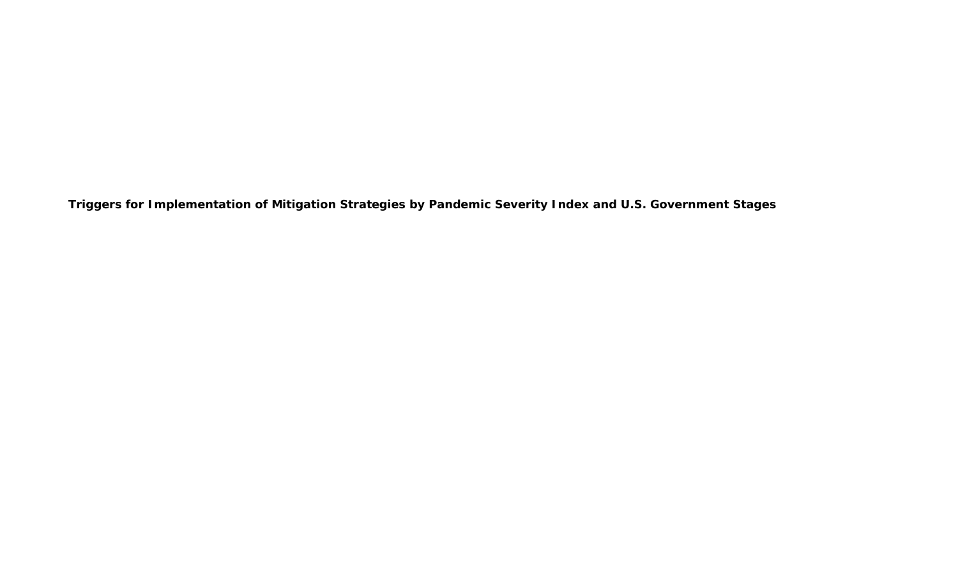**Triggers for Implementation of Mitigation Strategies by Pandemic Severity Index and U.S. Government Stages**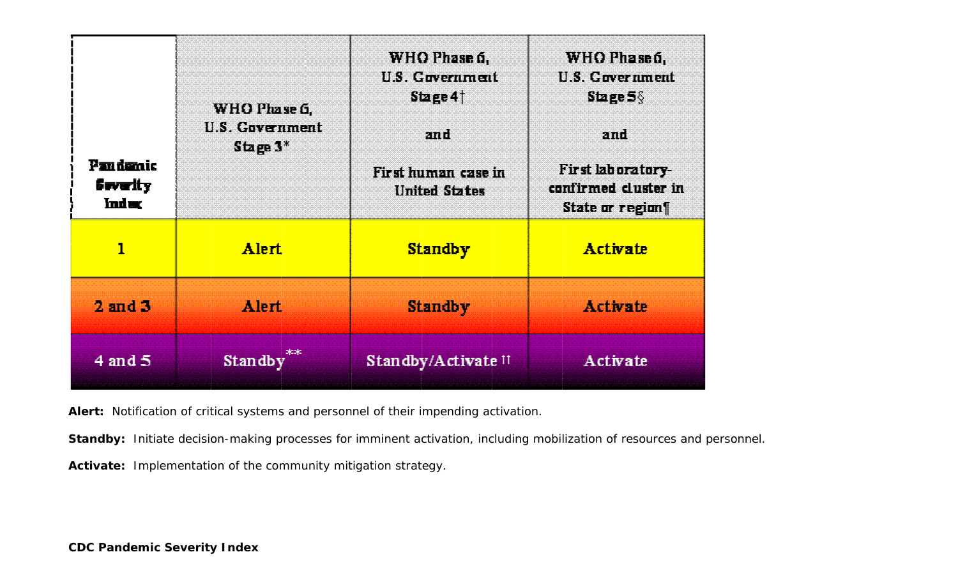| <b>Pandantic</b><br><b>Severity</b><br><b>Index</b> | WHO Phase 6.<br>U.S. Government<br>Stage $3^*$ | WHO Phase 6.<br>U.S. Government<br>Stage 4<br>and<br>First human case in<br><b>United States</b> | WHO Phase 6,<br>U.S. Government<br>Stage $5\%$<br>and<br>First laboratory-<br>confirmed cluster in<br>State or regions |  |  |
|-----------------------------------------------------|------------------------------------------------|--------------------------------------------------------------------------------------------------|------------------------------------------------------------------------------------------------------------------------|--|--|
| 1                                                   | <b>Alert</b>                                   | <b>Standby</b>                                                                                   | <b>Activate</b>                                                                                                        |  |  |
| $2$ and $3$                                         | Alert                                          | <b>Standby</b>                                                                                   | <b>Activate</b>                                                                                                        |  |  |
| $4$ and $5$                                         | Standby                                        | Standby/Activate <sup>11</sup>                                                                   | <b>Activate</b>                                                                                                        |  |  |

Alert: Notification of critical systems and personnel of their impending activation.

Standby: Initiate decision-making processes for imminent activation, including mobilization of resources and personnel.

Activate: Implementation of the community mitigation strategy.